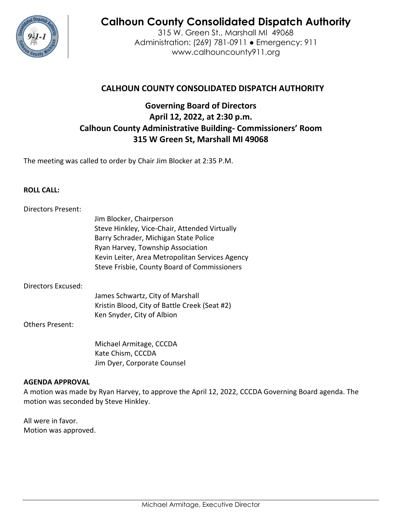

# **Calhoun County Consolidated Dispatch Authority**

315 W. Green St., Marshall MI 49068 Administration: (269) 781-0911 ● Emergency: 911 www.calhouncounty911.org

# **CALHOUN COUNTY CONSOLIDATED DISPATCH AUTHORITY**

# **Governing Board of Directors April 12, 2022, at 2:30 p.m. Calhoun County Administrative Building- Commissioners' Room 315 W Green St, Marshall MI 49068**

The meeting was called to order by Chair Jim Blocker at 2:35 P.M.

#### **ROLL CALL:**

| <b>Directors Present:</b> |                                                 |
|---------------------------|-------------------------------------------------|
|                           | Jim Blocker, Chairperson                        |
|                           | Steve Hinkley, Vice-Chair, Attended Virtually   |
|                           | Barry Schrader, Michigan State Police           |
|                           | Ryan Harvey, Township Association               |
|                           | Kevin Leiter, Area Metropolitan Services Agency |
|                           | Steve Frisbie, County Board of Commissioners    |
| Directors Excused:        |                                                 |
|                           | James Schwartz, City of Marshall                |
|                           | Kristin Blood, City of Battle Creek (Seat #2)   |
|                           | Ken Snyder, City of Albion                      |
| Others Present:           |                                                 |

 Michael Armitage, CCCDA Kate Chism, CCCDA Jim Dyer, Corporate Counsel

#### **AGENDA APPROVAL**

A motion was made by Ryan Harvey, to approve the April 12, 2022, CCCDA Governing Board agenda. The motion was seconded by Steve Hinkley.

All were in favor. Motion was approved.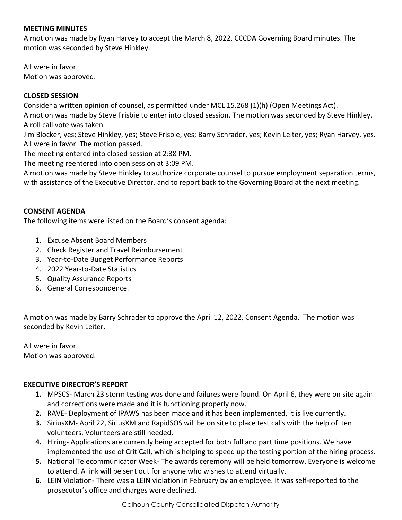#### **MEETING MINUTES**

A motion was made by Ryan Harvey to accept the March 8, 2022, CCCDA Governing Board minutes. The motion was seconded by Steve Hinkley.

All were in favor. Motion was approved.

## **CLOSED SESSION**

Consider a written opinion of counsel, as permitted under MCL 15.268 (1)(h) (Open Meetings Act).

A motion was made by Steve Frisbie to enter into closed session. The motion was seconded by Steve Hinkley. A roll call vote was taken.

Jim Blocker, yes; Steve Hinkley, yes; Steve Frisbie, yes; Barry Schrader, yes; Kevin Leiter, yes; Ryan Harvey, yes. All were in favor. The motion passed.

The meeting entered into closed session at 2:38 PM.

The meeting reentered into open session at 3:09 PM.

A motion was made by Steve Hinkley to authorize corporate counsel to pursue employment separation terms, with assistance of the Executive Director, and to report back to the Governing Board at the next meeting.

## **CONSENT AGENDA**

The following items were listed on the Board's consent agenda:

- 1. Excuse Absent Board Members
- 2. Check Register and Travel Reimbursement
- 3. Year-to-Date Budget Performance Reports
- 4. 2022 Year-to-Date Statistics
- 5. Quality Assurance Reports
- 6. General Correspondence.

A motion was made by Barry Schrader to approve the April 12, 2022, Consent Agenda. The motion was seconded by Kevin Leiter.

All were in favor. Motion was approved.

#### **EXECUTIVE DIRECTOR'S REPORT**

- **1.** MPSCS- March 23 storm testing was done and failures were found. On April 6, they were on site again and corrections were made and it is functioning properly now.
- **2.** RAVE- Deployment of IPAWS has been made and it has been implemented, it is live currently.
- **3.** SiriusXM- April 22, SiriusXM and RapidSOS will be on site to place test calls with the help of ten volunteers. Volunteers are still needed.
- **4.** Hiring- Applications are currently being accepted for both full and part time positions. We have implemented the use of CritiCall, which is helping to speed up the testing portion of the hiring process.
- **5.** National Telecommunicator Week- The awards ceremony will be held tomorrow. Everyone is welcome to attend. A link will be sent out for anyone who wishes to attend virtually.
- **6.** LEIN Violation- There was a LEIN violation in February by an employee. It was self-reported to the prosecutor's office and charges were declined.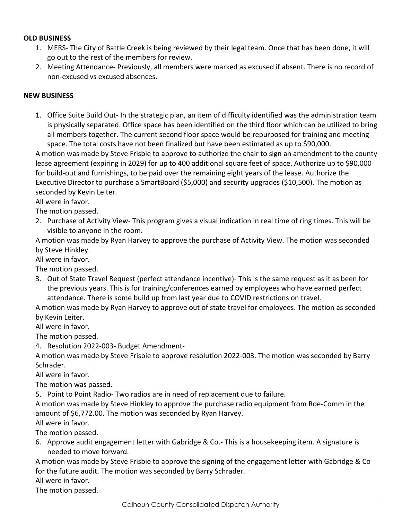#### **OLD BUSINESS**

- 1. MERS- The City of Battle Creek is being reviewed by their legal team. Once that has been done, it will go out to the rest of the members for review.
- 2. Meeting Attendance- Previously, all members were marked as excused if absent. There is no record of non-excused vs excused absences.

#### **NEW BUSINESS**

1. Office Suite Build Out- In the strategic plan, an item of difficulty identified was the administration team is physically separated. Office space has been identified on the third floor which can be utilized to bring all members together. The current second floor space would be repurposed for training and meeting space. The total costs have not been finalized but have been estimated as up to \$90,000.

A motion was made by Steve Frisbie to approve to authorize the chair to sign an amendment to the county lease agreement (expiring in 2029) for up to 400 additional square feet of space. Authorize up to \$90,000 for build-out and furnishings, to be paid over the remaining eight years of the lease. Authorize the Executive Director to purchase a SmartBoard (\$5,000) and security upgrades (\$10,500). The motion as seconded by Kevin Leiter.

All were in favor.

The motion passed.

2. Purchase of Activity View- This program gives a visual indication in real time of ring times. This will be visible to anyone in the room.

A motion was made by Ryan Harvey to approve the purchase of Activity View. The motion was seconded by Steve Hinkley.

All were in favor.

The motion passed.

3. Out of State Travel Request (perfect attendance incentive)- This is the same request as it as been for the previous years. This is for training/conferences earned by employees who have earned perfect attendance. There is some build up from last year due to COVID restrictions on travel.

A motion was made by Ryan Harvey to approve out of state travel for employees. The motion as seconded by Kevin Leiter.

All were in favor.

The motion passed.

4. Resolution 2022-003- Budget Amendment-

A motion was made by Steve Frisbie to approve resolution 2022-003. The motion was seconded by Barry Schrader.

All were in favor.

The motion was passed.

5. Point to Point Radio- Two radios are in need of replacement due to failure.

A motion was made by Steve Hinkley to approve the purchase radio equipment from Roe-Comm in the amount of \$6,772.00. The motion was seconded by Ryan Harvey.

All were in favor.

The motion passed.

6. Approve audit engagement letter with Gabridge & Co.- This is a housekeeping item. A signature is needed to move forward.

A motion was made by Steve Frisbie to approve the signing of the engagement letter with Gabridge & Co for the future audit. The motion was seconded by Barry Schrader.

All were in favor.

The motion passed.